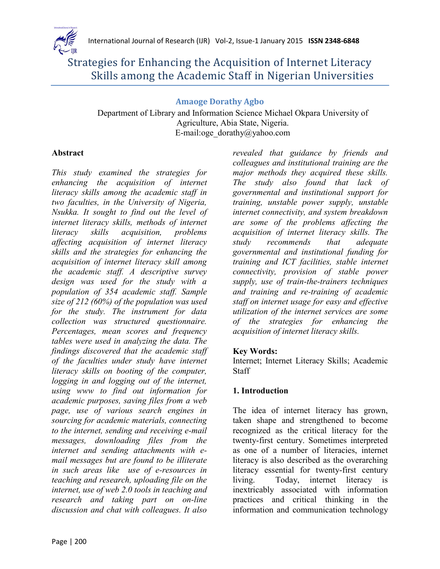

# Strategies for Enhancing the Acquisition of Internet Literacy Skills among the Academic Staff in Nigerian Universities

## **Amaoge Dorathy Agbo**

Department of Library and Information Science Michael Okpara University of Agriculture, Abia State, Nigeria. E-mail:oge\_dorathy@yahoo.com

## **Abstract**

*This study examined the strategies for enhancing the acquisition of internet literacy skills among the academic staff in two faculties, in the University of Nigeria, Nsukka. It sought to find out the level of internet literacy skills, methods of internet literacy skills acquisition, problems affecting acquisition of internet literacy skills and the strategies for enhancing the acquisition of internet literacy skill among the academic staff. A descriptive survey design was used for the study with a population of 354 academic staff. Sample size of 212 (60%) of the population was used for the study. The instrument for data collection was structured questionnaire. Percentages, mean scores and frequency tables were used in analyzing the data. The findings discovered that the academic staff of the faculties under study have internet literacy skills on booting of the computer, logging in and logging out of the internet, using www to find out information for academic purposes, saving files from a web page, use of various search engines in sourcing for academic materials, connecting to the internet, sending and receiving e-mail messages, downloading files from the internet and sending attachments with email messages but are found to be illiterate in such areas like use of e-resources in teaching and research, uploading file on the internet, use of web 2.0 tools in teaching and research and taking part on on-line discussion and chat with colleagues. It also* 

*revealed that guidance by friends and colleagues and institutional training are the major methods they acquired these skills. The study also found that lack of governmental and institutional support for training, unstable power supply, unstable internet connectivity, and system breakdown are some of the problems affecting the acquisition of internet literacy skills. The study recommends that adequate governmental and institutional funding for training and ICT facilities, stable internet connectivity, provision of stable power supply, use of train-the-trainers techniques and training and re-training of academic staff on internet usage for easy and effective utilization of the internet services are some of the strategies for enhancing the acquisition of internet literacy skills.* 

# **Key Words:**

Internet; Internet Literacy Skills; Academic **Staff** 

# **1. Introduction**

The idea of internet literacy has grown, taken shape and strengthened to become recognized as the critical literacy for the twenty-first century. Sometimes interpreted as one of a number of literacies, internet literacy is also described as the overarching literacy essential for twenty-first century living. Today, internet literacy is inextricably associated with information practices and critical thinking in the information and communication technology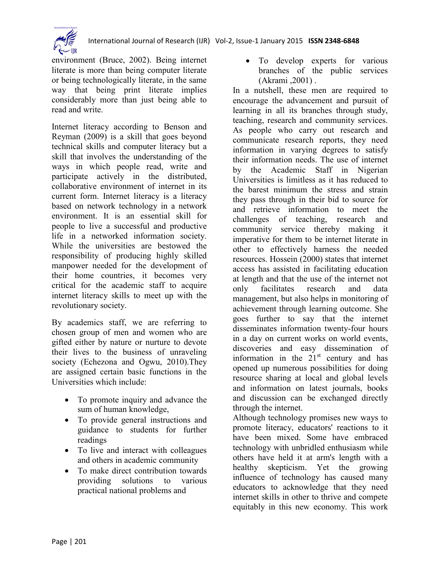

environment (Bruce, 2002). Being internet literate is more than being computer literate or being technologically literate, in the same way that being print literate implies considerably more than just being able to read and write.

Internet literacy according to Benson and Reyman (2009) is a skill that goes beyond technical skills and computer literacy but a skill that involves the understanding of the ways in which people read, write and participate actively in the distributed, collaborative environment of internet in its current form. Internet literacy is a literacy based on network technology in a network environment. It is an essential skill for people to live a successful and productive life in a networked information society. While the universities are bestowed the responsibility of producing highly skilled manpower needed for the development of their home countries, it becomes very critical for the academic staff to acquire internet literacy skills to meet up with the revolutionary society.

By academics staff, we are referring to chosen group of men and women who are gifted either by nature or nurture to devote their lives to the business of unraveling society (Echezona and Ogwu, 2010).They are assigned certain basic functions in the Universities which include:

- To promote inquiry and advance the sum of human knowledge,
- To provide general instructions and guidance to students for further readings
- To live and interact with colleagues and others in academic community
- To make direct contribution towards providing solutions to various practical national problems and

• To develop experts for various branches of the public services (Akrami ,2001) .

In a nutshell, these men are required to encourage the advancement and pursuit of learning in all its branches through study, teaching, research and community services. As people who carry out research and communicate research reports, they need information in varying degrees to satisfy their information needs. The use of internet by the Academic Staff in Nigerian Universities is limitless as it has reduced to the barest minimum the stress and strain they pass through in their bid to source for and retrieve information to meet the challenges of teaching, research and community service thereby making it imperative for them to be internet literate in other to effectively harness the needed resources. Hossein (2000) states that internet access has assisted in facilitating education at length and that the use of the internet not only facilitates research and data management, but also helps in monitoring of achievement through learning outcome. She goes further to say that the internet disseminates information twenty-four hours in a day on current works on world events, discoveries and easy dissemination of information in the  $21<sup>st</sup>$  century and has opened up numerous possibilities for doing resource sharing at local and global levels and information on latest journals, books and discussion can be exchanged directly through the internet.

Although technology promises new ways to promote literacy, educators' reactions to it have been mixed. Some have embraced technology with unbridled enthusiasm while others have held it at arm's length with a healthy skepticism. Yet the growing influence of technology has caused many educators to acknowledge that they need internet skills in other to thrive and compete equitably in this new economy. This work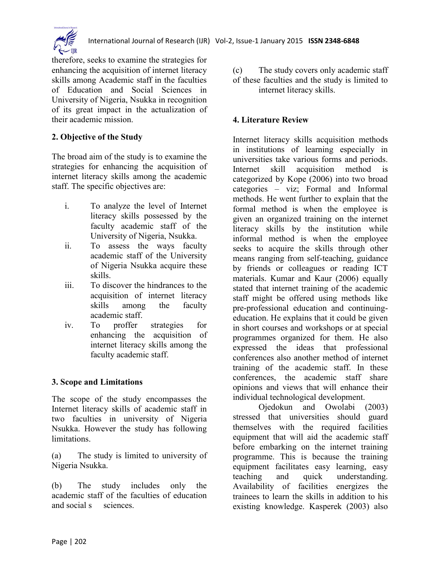

therefore, seeks to examine the strategies for enhancing the acquisition of internet literacy skills among Academic staff in the faculties of Education and Social Sciences in University of Nigeria, Nsukka in recognition of its great impact in the actualization of their academic mission.

## **2. Objective of the Study**

The broad aim of the study is to examine the strategies for enhancing the acquisition of internet literacy skills among the academic staff. The specific objectives are:

- i. To analyze the level of Internet literacy skills possessed by the faculty academic staff of the University of Nigeria, Nsukka.
- ii. To assess the ways faculty academic staff of the University of Nigeria Nsukka acquire these skills.
- iii. To discover the hindrances to the acquisition of internet literacy skills among the faculty academic staff.
- iv. To proffer strategies for enhancing the acquisition of internet literacy skills among the faculty academic staff.

#### **3. Scope and Limitations**

The scope of the study encompasses the Internet literacy skills of academic staff in two faculties in university of Nigeria Nsukka. However the study has following limitations.

(a) The study is limited to university of Nigeria Nsukka.

(b) The study includes only the academic staff of the faculties of education and social s sciences

(c) The study covers only academic staff of these faculties and the study is limited to internet literacy skills.

#### **4. Literature Review**

Internet literacy skills acquisition methods in institutions of learning especially in universities take various forms and periods. Internet skill acquisition method is categorized by Kope (2006) into two broad categories – viz; Formal and Informal methods. He went further to explain that the formal method is when the employee is given an organized training on the internet literacy skills by the institution while informal method is when the employee seeks to acquire the skills through other means ranging from self-teaching, guidance by friends or colleagues or reading ICT materials. Kumar and Kaur (2006) equally stated that internet training of the academic staff might be offered using methods like pre-professional education and continuingeducation. He explains that it could be given in short courses and workshops or at special programmes organized for them. He also expressed the ideas that professional conferences also another method of internet training of the academic staff. In these conferences, the academic staff share opinions and views that will enhance their individual technological development.

Ojedokun and Owolabi (2003) stressed that universities should guard themselves with the required facilities equipment that will aid the academic staff before embarking on the internet training programme. This is because the training equipment facilitates easy learning, easy teaching and quick understanding. Availability of facilities energizes the trainees to learn the skills in addition to his existing knowledge. Kasperek (2003) also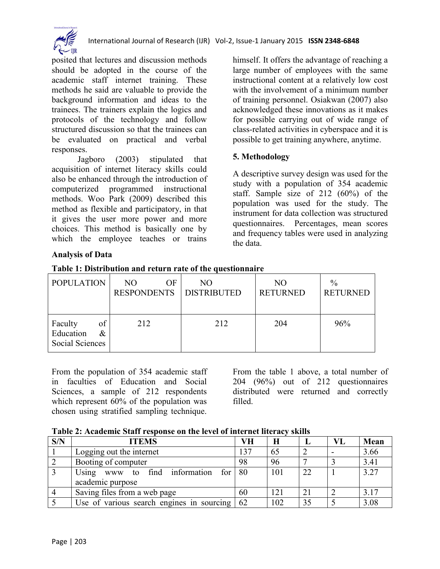

posited that lectures and discussion methods should be adopted in the course of the academic staff internet training. These methods he said are valuable to provide the background information and ideas to the trainees. The trainers explain the logics and protocols of the technology and follow structured discussion so that the trainees can be evaluated on practical and verbal responses.

Jagboro (2003) stipulated that acquisition of internet literacy skills could also be enhanced through the introduction of computerized programmed instructional methods. Woo Park (2009) described this method as flexible and participatory, in that it gives the user more power and more choices. This method is basically one by which the employee teaches or trains

himself. It offers the advantage of reaching a large number of employees with the same instructional content at a relatively low cost with the involvement of a minimum number of training personnel. Osiakwan (2007) also acknowledged these innovations as it makes for possible carrying out of wide range of class-related activities in cyberspace and it is possible to get training anywhere, anytime.

#### **5. Methodology**

A descriptive survey design was used for the study with a population of 354 academic staff. Sample size of 212 (60%) of the population was used for the study. The instrument for data collection was structured questionnaires. Percentages, mean scores and frequency tables were used in analyzing the data.

#### **Analysis of Data**

| <b>POPULATION</b> | NO.<br>OF          | NO.                | N <sub>O</sub>  | $\frac{0}{0}$   |
|-------------------|--------------------|--------------------|-----------------|-----------------|
|                   |                    |                    |                 |                 |
|                   | <b>RESPONDENTS</b> | <b>DISTRIBUTED</b> | <b>RETURNED</b> | <b>RETURNED</b> |
|                   |                    |                    |                 |                 |
|                   |                    |                    |                 |                 |
|                   |                    |                    |                 |                 |
| of<br>Faculty     | 212                | 212                | 204             | 96%             |
| Education<br>&    |                    |                    |                 |                 |
|                   |                    |                    |                 |                 |
| Social Sciences   |                    |                    |                 |                 |
|                   |                    |                    |                 |                 |

**Table 1: Distribution and return rate of the questionnaire**

From the population of 354 academic staff in faculties of Education and Social Sciences, a sample of 212 respondents which represent 60% of the population was chosen using stratified sampling technique.

From the table 1 above, a total number of 204 (96%) out of 212 questionnaires distributed were returned and correctly filled.

| Table 2: Academic Staff response on the level of internet literacy skills |  |  |  |
|---------------------------------------------------------------------------|--|--|--|
|---------------------------------------------------------------------------|--|--|--|

| S/N | <b>ITEMS</b>                                                 | VН  | H   |    | VL | Mean |
|-----|--------------------------------------------------------------|-----|-----|----|----|------|
|     | Logging out the internet                                     | 137 | 65  |    |    | 3.66 |
|     | Booting of computer                                          | 98  | 96  |    |    | 3.41 |
|     | Using www to find information<br>for                         | 80  | 101 | 22 |    | 3.27 |
|     | academic purpose                                             |     |     |    |    |      |
|     | Saving files from a web page                                 | 60  | 121 | 21 |    | 3.17 |
|     | Use of various search engines in sourcing $\vert 62 \rangle$ |     | 102 | 35 |    | 3.08 |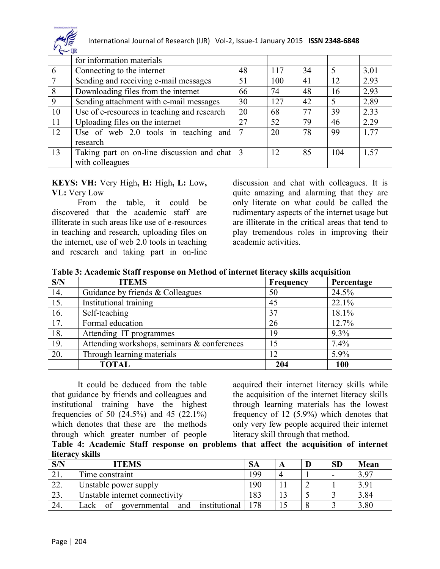

|    | for information materials                                    |    |     |    |             |      |
|----|--------------------------------------------------------------|----|-----|----|-------------|------|
| 6  | Connecting to the internet                                   | 48 | 117 | 34 | 5           | 3.01 |
|    | Sending and receiving e-mail messages                        | 51 | 100 | 41 | 12          | 2.93 |
| 8  | Downloading files from the internet                          | 66 | 74  | 48 | 16          | 2.93 |
| 9  | Sending attachment with e-mail messages                      | 30 | 127 | 42 | $\varsigma$ | 2.89 |
| 10 | Use of e-resources in teaching and research                  | 20 | 68  | 77 | 39          | 2.33 |
| 11 | Uploading files on the internet                              | 27 | 52  | 79 | 46          | 2.29 |
| 12 | Use of web 2.0 tools in teaching and                         | 7  | 20  | 78 | 99          | 1.77 |
|    | research                                                     |    |     |    |             |      |
| 13 | Taking part on on-line discussion and chat $\vert 3 \rangle$ |    | 12  | 85 | 104         | 1.57 |
|    | with colleagues                                              |    |     |    |             |      |

**KEYS: VH:** Very High**, H:** High**, L:** Low**, VL:** Very Low

From the table, it could be discovered that the academic staff are illiterate in such areas like use of e-resources in teaching and research, uploading files on the internet, use of web 2.0 tools in teaching and research and taking part in on-line discussion and chat with colleagues. It is quite amazing and alarming that they are only literate on what could be called the rudimentary aspects of the internet usage but are illiterate in the critical areas that tend to play tremendous roles in improving their academic activities.

| Table 3: Academic Staff response on Method of internet literacy skills acquisition |
|------------------------------------------------------------------------------------|
|------------------------------------------------------------------------------------|

| S/N | <b>ITEMS</b>                                | Frequency | Percentage |
|-----|---------------------------------------------|-----------|------------|
| 14. | Guidance by friends & Colleagues            | 50        | 24.5%      |
| 15. | Institutional training                      | 45        | 22.1%      |
| 16. | Self-teaching                               | 37        | 18.1%      |
| 17. | Formal education                            | 26        | 12.7%      |
| 18. | Attending IT programmes                     | 19        | $9.3\%$    |
| 19. | Attending workshops, seminars & conferences | 15        | 7.4%       |
| 20. | Through learning materials                  | 12        | 5.9%       |
|     | <b>TOTAL</b>                                | 204       | 100        |

It could be deduced from the table that guidance by friends and colleagues and institutional training have the highest frequencies of 50 (24.5%) and 45 (22.1%) which denotes that these are the methods through which greater number of people

acquired their internet literacy skills while the acquisition of the internet literacy skills through learning materials has the lowest frequency of 12 (5.9%) which denotes that only very few people acquired their internet literacy skill through that method.

**Table 4: Academic Staff response on problems that affect the acquisition of internet literacy skills**

| S/N | <b>ITEMS</b>                                       | <b>SA</b> |  | <b>SD</b> | Mean |
|-----|----------------------------------------------------|-----------|--|-----------|------|
|     | Time constraint                                    | 199       |  |           | 3.97 |
| 44. | Unstable power supply                              | 190       |  |           | 3.91 |
|     | Unstable internet connectivity                     | 183       |  |           | 3.84 |
| 24. | institutional<br>governmental<br>∟ack<br>and<br>Ωt | . 78      |  |           | 3.80 |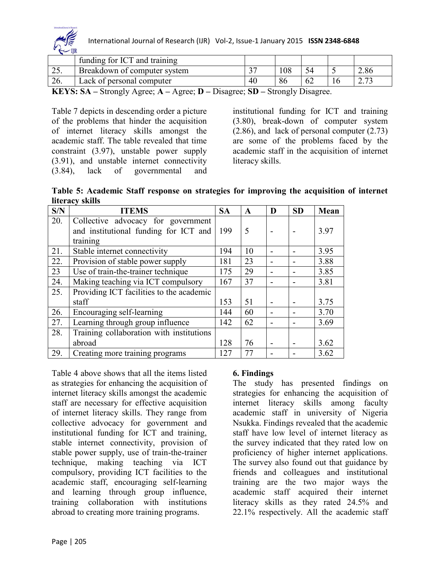

|                       | funding for ICT and training          |                         |                           |    |               |
|-----------------------|---------------------------------------|-------------------------|---------------------------|----|---------------|
| 29.                   | Breakdown of computer system          | $\gamma$                | 108                       |    | 2.86          |
| 26.                   | Lack of personal computer             | 40                      |                           | 62 | רי ה<br>ت ا پ |
| T T T T T T T T T T T | $\sim$<br>$\mathbf{r}$ $\mathbf{r}$ . | $\sim$ $\sim$<br>$\sim$ | $\mathbf{1}$ $\mathbf{R}$ |    |               |

**KEYS: SA –** Strongly Agree; **A –** Agree; **D –** Disagree; **SD –** Strongly Disagree.

Table 7 depicts in descending order a picture of the problems that hinder the acquisition of internet literacy skills amongst the academic staff. The table revealed that time constraint (3.97), unstable power supply (3.91), and unstable internet connectivity (3.84), lack of governmental and

institutional funding for ICT and training (3.80), break-down of computer system (2.86), and lack of personal computer (2.73) are some of the problems faced by the academic staff in the acquisition of internet literacy skills.

**Table 5: Academic Staff response on strategies for improving the acquisition of internet literacy skills**

| S/N | <b>ITEMS</b>                             | <b>SA</b> | A  | D | <b>SD</b> | Mean |
|-----|------------------------------------------|-----------|----|---|-----------|------|
| 20. | Collective advocacy for government       |           |    |   |           |      |
|     | and institutional funding for ICT and    | 199       | 5  |   |           | 3.97 |
|     | training                                 |           |    |   |           |      |
| 21. | Stable internet connectivity             | 194       | 10 |   |           | 3.95 |
| 22. | Provision of stable power supply         | 181       | 23 |   |           | 3.88 |
| 23  | Use of train-the-trainer technique       | 175       | 29 |   |           | 3.85 |
| 24. | Making teaching via ICT compulsory       | 167       | 37 |   |           | 3.81 |
| 25. | Providing ICT facilities to the academic |           |    |   |           |      |
|     | staff                                    | 153       | 51 |   |           | 3.75 |
| 26. | Encouraging self-learning                | 144       | 60 |   |           | 3.70 |
| 27. | Learning through group influence         | 142       | 62 |   |           | 3.69 |
| 28. | Training collaboration with institutions |           |    |   |           |      |
|     | abroad                                   | 128       | 76 |   |           | 3.62 |
| 29. | Creating more training programs          | 127       | 77 |   |           | 3.62 |

Table 4 above shows that all the items listed as strategies for enhancing the acquisition of internet literacy skills amongst the academic staff are necessary for effective acquisition of internet literacy skills. They range from collective advocacy for government and institutional funding for ICT and training, stable internet connectivity, provision of stable power supply, use of train-the-trainer technique, making teaching via ICT compulsory, providing ICT facilities to the academic staff, encouraging self-learning and learning through group influence, training collaboration with institutions abroad to creating more training programs.

#### **6. Findings**

The study has presented findings on strategies for enhancing the acquisition of internet literacy skills among faculty academic staff in university of Nigeria Nsukka. Findings revealed that the academic staff have low level of internet literacy as the survey indicated that they rated low on proficiency of higher internet applications. The survey also found out that guidance by friends and colleagues and institutional training are the two major ways the academic staff acquired their internet literacy skills as they rated 24.5% and 22.1% respectively. All the academic staff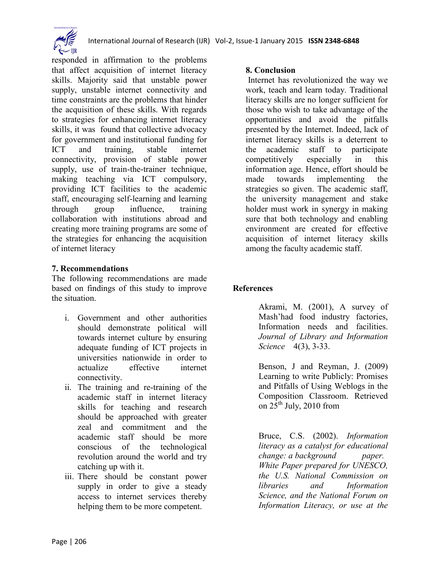



responded in affirmation to the problems that affect acquisition of internet literacy skills. Majority said that unstable power supply, unstable internet connectivity and time constraints are the problems that hinder the acquisition of these skills. With regards to strategies for enhancing internet literacy skills, it was found that collective advocacy for government and institutional funding for ICT and training, stable internet connectivity, provision of stable power supply, use of train-the-trainer technique, making teaching via ICT compulsory, providing ICT facilities to the academic staff, encouraging self-learning and learning through group influence, training collaboration with institutions abroad and creating more training programs are some of the strategies for enhancing the acquisition of internet literacy

#### **7. Recommendations**

The following recommendations are made based on findings of this study to improve the situation.

- i. Government and other authorities should demonstrate political will towards internet culture by ensuring adequate funding of ICT projects in universities nationwide in order to actualize effective internet connectivity.
- ii. The training and re-training of the academic staff in internet literacy skills for teaching and research should be approached with greater zeal and commitment and the academic staff should be more conscious of the technological revolution around the world and try catching up with it.
- iii. There should be constant power supply in order to give a steady access to internet services thereby helping them to be more competent.

#### **8. Conclusion**

Internet has revolutionized the way we work, teach and learn today. Traditional literacy skills are no longer sufficient for those who wish to take advantage of the opportunities and avoid the pitfalls presented by the Internet. Indeed, lack of internet literacy skills is a deterrent to the academic staff to participate competitively especially in this information age. Hence, effort should be made towards implementing the strategies so given. The academic staff, the university management and stake holder must work in synergy in making sure that both technology and enabling environment are created for effective acquisition of internet literacy skills among the faculty academic staff.

#### **References**

Akrami, M. (2001), A survey of Mash'had food industry factories, Information needs and facilities. *Journal of Library and Information Science* 4(3), 3-33.

Benson, J and Reyman, J. (2009) Learning to write Publicly: Promises and Pitfalls of Using Weblogs in the Composition Classroom. Retrieved on  $25^{\text{th}}$  July, 2010 from

Bruce, C.S. (2002). *[Information](http://www.nclis.gov/libinter/infolitconf&meet/papers/bruce-fullpaper.pdf)  [literacy as a catalyst for educational](http://www.nclis.gov/libinter/infolitconf&meet/papers/bruce-fullpaper.pdf)  [change: a background paper.](http://www.nclis.gov/libinter/infolitconf&meet/papers/bruce-fullpaper.pdf)  [White Paper prepared for UNESCO,](http://www.nclis.gov/libinter/infolitconf&meet/papers/bruce-fullpaper.pdf)  [the U.S. National Commission on](http://www.nclis.gov/libinter/infolitconf&meet/papers/bruce-fullpaper.pdf)  [libraries and Information](http://www.nclis.gov/libinter/infolitconf&meet/papers/bruce-fullpaper.pdf)  [Science, and the National Forum on](http://www.nclis.gov/libinter/infolitconf&meet/papers/bruce-fullpaper.pdf)  [Information Literacy, or use at the](http://www.nclis.gov/libinter/infolitconf&meet/papers/bruce-fullpaper.pdf)*